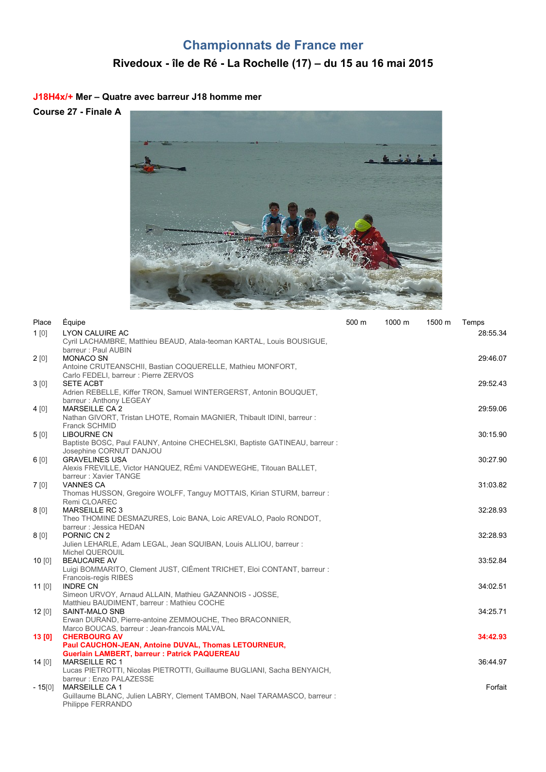# **Championnats de France mer**

# **Rivedoux - île de Ré - La Rochelle (17) – du 15 au 16 mai 2015**

#### **J18H4x/+ Mer – Quatre avec barreur J18 homme mer**

**Course 27 - Finale A**



| Place    | Équipe                                                                      | 500 m | 1000 m | 1500 m | Temps    |
|----------|-----------------------------------------------------------------------------|-------|--------|--------|----------|
| $1$ [0]  | <b>LYON CALUIRE AC</b>                                                      |       |        |        | 28:55.34 |
|          | Cyril LACHAMBRE, Matthieu BEAUD, Atala-teoman KARTAL, Louis BOUSIGUE,       |       |        |        |          |
|          | barreur: Paul AUBIN                                                         |       |        |        |          |
| 2[0]     | <b>MONACO SN</b>                                                            |       |        |        | 29:46.07 |
|          | Antoine CRUTEANSCHII, Bastian COQUERELLE, Mathieu MONFORT,                  |       |        |        |          |
|          | Carlo FEDELI, barreur : Pierre ZERVOS                                       |       |        |        |          |
| 3[0]     | <b>SETE ACBT</b>                                                            |       |        |        | 29:52.43 |
|          | Adrien REBELLE, Kiffer TRON, Samuel WINTERGERST, Antonin BOUQUET,           |       |        |        |          |
|          | barreur: Anthony LEGEAY                                                     |       |        |        |          |
| 4[0]     | <b>MARSEILLE CA2</b>                                                        |       |        |        | 29:59.06 |
|          | Nathan GIVORT, Tristan LHOTE, Romain MAGNIER, Thibault IDINI, barreur :     |       |        |        |          |
|          | <b>Franck SCHMID</b>                                                        |       |        |        |          |
| 5[0]     | <b>LIBOURNE CN</b>                                                          |       |        |        | 30:15.90 |
|          | Baptiste BOSC, Paul FAUNY, Antoine CHECHELSKI, Baptiste GATINEAU, barreur : |       |        |        |          |
|          | Josephine CORNUT DANJOU                                                     |       |        |        |          |
| 6[0]     | <b>GRAVELINES USA</b>                                                       |       |        |        | 30:27.90 |
|          | Alexis FREVILLE, Victor HANQUEZ, RÉmi VANDEWEGHE, Titouan BALLET,           |       |        |        |          |
|          | barreur: Xavier TANGE                                                       |       |        |        |          |
| 7[0]     | <b>VANNES CA</b>                                                            |       |        |        | 31:03.82 |
|          | Thomas HUSSON, Gregoire WOLFF, Tanguy MOTTAIS, Kirian STURM, barreur:       |       |        |        |          |
|          | Remi CLOAREC                                                                |       |        |        |          |
| 8[0]     | <b>MARSEILLE RC 3</b>                                                       |       |        |        | 32:28.93 |
|          | Theo THOMINE DESMAZURES, Loic BANA, Loic AREVALO, Paolo RONDOT,             |       |        |        |          |
|          | barreur : Jessica HEDAN                                                     |       |        |        |          |
| 8[0]     | PORNIC CN 2                                                                 |       |        |        | 32:28.93 |
|          | Julien LEHARLE, Adam LEGAL, Jean SQUIBAN, Louis ALLIOU, barreur :           |       |        |        |          |
|          | Michel QUEROUIL                                                             |       |        |        |          |
| 10[0]    | <b>BEAUCAIRE AV</b>                                                         |       |        |        | 33:52.84 |
|          | Luigi BOMMARITO, Clement JUST, ClÉment TRICHET, Eloi CONTANT, barreur :     |       |        |        |          |
|          | Francois-regis RIBES                                                        |       |        |        |          |
| $11$ [0] | <b>INDRE CN</b>                                                             |       |        |        | 34:02.51 |
|          | Simeon URVOY, Arnaud ALLAIN, Mathieu GAZANNOIS - JOSSE,                     |       |        |        |          |
|          | Matthieu BAUDIMENT, barreur: Mathieu COCHE                                  |       |        |        |          |
| 12[0]    | <b>SAINT-MALO SNB</b>                                                       |       |        |        | 34:25.71 |
|          | Erwan DURAND, Pierre-antoine ZEMMOUCHE, Theo BRACONNIER,                    |       |        |        |          |
|          | Marco BOUCAS, barreur : Jean-francois MALVAL                                |       |        |        |          |
| 13[0]    | <b>CHERBOURG AV</b>                                                         |       |        |        | 34:42.93 |
|          | Paul CAUCHON-JEAN, Antoine DUVAL, Thomas LETOURNEUR,                        |       |        |        |          |
|          | <b>Guerlain LAMBERT, barreur: Patrick PAQUEREAU</b>                         |       |        |        |          |
| 14[0]    | <b>MARSEILLE RC 1</b>                                                       |       |        |        | 36:44.97 |
|          | Lucas PIETROTTI, Nicolas PIETROTTI, Guillaume BUGLIANI, Sacha BENYAICH,     |       |        |        |          |
|          | barreur: Enzo PALAZESSE                                                     |       |        |        |          |
| $-15[0]$ | <b>MARSEILLE CA1</b>                                                        |       |        |        | Forfait  |
|          | Guillaume BLANC, Julien LABRY, Clement TAMBON, Nael TARAMASCO, barreur :    |       |        |        |          |
|          | Philippe FERRANDO                                                           |       |        |        |          |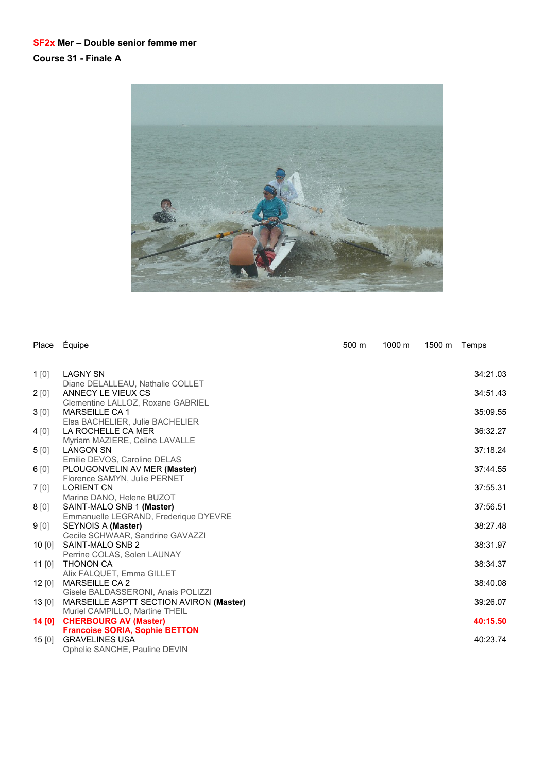#### **SF2x Mer – Double senior femme mer Course 31 - Finale A**



| Place            | Équipe                                                                                          | 500 m | 1000 m | 1500 m Temps |          |
|------------------|-------------------------------------------------------------------------------------------------|-------|--------|--------------|----------|
| 1[0]             | <b>LAGNY SN</b>                                                                                 |       |        |              | 34:21.03 |
| 2[0]             | Diane DELALLEAU, Nathalie COLLET<br>ANNECY LE VIEUX CS                                          |       |        |              | 34:51.43 |
| 3[0]             | Clementine LALLOZ, Roxane GABRIEL<br><b>MARSEILLE CA 1</b>                                      |       |        |              | 35:09.55 |
| 4 [0]            | Elsa BACHELIER, Julie BACHELIER<br>LA ROCHELLE CA MER                                           |       |        |              | 36:32.27 |
| 5[0]             | Myriam MAZIERE, Celine LAVALLE<br><b>LANGON SN</b>                                              |       |        |              | 37:18.24 |
| 6[0]             | Emilie DEVOS, Caroline DELAS<br>PLOUGONVELIN AV MER (Master)                                    |       |        |              | 37:44.55 |
| 7[0]             | Florence SAMYN, Julie PERNET<br><b>LORIENT CN</b>                                               |       |        |              | 37:55.31 |
| 8[0]             | Marine DANO, Helene BUZOT<br>SAINT-MALO SNB 1 (Master)                                          |       |        |              | 37:56.51 |
| 9 <sub>[0]</sub> | Emmanuelle LEGRAND, Frederique DYEVRE<br>SEYNOIS A (Master)                                     |       |        |              | 38:27.48 |
| 10[0]            | Cecile SCHWAAR, Sandrine GAVAZZI<br>SAINT-MALO SNB 2                                            |       |        |              | 38:31.97 |
| 11 $[0]$         | Perrine COLAS, Solen LAUNAY<br><b>THONON CA</b>                                                 |       |        |              | 38:34.37 |
| 12[0]            | Alix FALQUET, Emma GILLET<br><b>MARSEILLE CA 2</b>                                              |       |        |              | 38:40.08 |
| 13[0]            | Gisele BALDASSERONI, Anais POLIZZI<br>MARSEILLE ASPTT SECTION AVIRON (Master)                   |       |        |              | 39:26.07 |
| 14 [0]           | Muriel CAMPILLO, Martine THEIL<br><b>CHERBOURG AV (Master)</b>                                  |       |        |              | 40:15.50 |
| 15[0]            | <b>Francoise SORIA, Sophie BETTON</b><br><b>GRAVELINES USA</b><br>Ophelie SANCHE, Pauline DEVIN |       |        |              | 40:23.74 |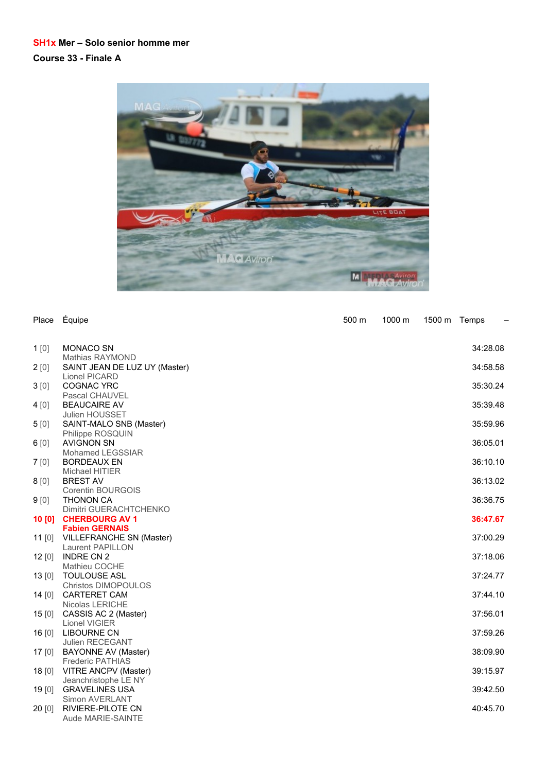### **SH1x Mer – Solo senior homme mer Course 33 - Finale A**



| Place    | Équipe                                         | 500 m | 1000 m | 1500 m Temps |          | $\overline{\phantom{0}}$ |
|----------|------------------------------------------------|-------|--------|--------------|----------|--------------------------|
| 1[0]     | <b>MONACO SN</b>                               |       |        |              | 34:28.08 |                          |
|          | Mathias RAYMOND                                |       |        |              |          |                          |
| 2[0]     | SAINT JEAN DE LUZ UY (Master)<br>Lionel PICARD |       |        |              | 34:58.58 |                          |
| 3[0]     | <b>COGNAC YRC</b>                              |       |        |              | 35:30.24 |                          |
|          | Pascal CHAUVEL                                 |       |        |              |          |                          |
| 4[0]     | <b>BEAUCAIRE AV</b>                            |       |        |              | 35:39.48 |                          |
|          | <b>Julien HOUSSET</b>                          |       |        |              |          |                          |
| 5[0]     | SAINT-MALO SNB (Master)                        |       |        |              | 35:59.96 |                          |
|          | Philippe ROSQUIN                               |       |        |              |          |                          |
| 6[0]     | <b>AVIGNON SN</b>                              |       |        |              | 36:05.01 |                          |
|          | Mohamed LEGSSIAR                               |       |        |              |          |                          |
| 7[0]     | <b>BORDEAUX EN</b>                             |       |        |              | 36:10.10 |                          |
|          | Michael HITIER                                 |       |        |              |          |                          |
| 8[0]     | <b>BREST AV</b>                                |       |        |              | 36:13.02 |                          |
|          | Corentin BOURGOIS                              |       |        |              |          |                          |
| 9[0]     | <b>THONON CA</b>                               |       |        |              | 36:36.75 |                          |
|          | Dimitri GUERACHTCHENKO                         |       |        |              |          |                          |
| 10 [0]   | <b>CHERBOURG AV 1</b>                          |       |        |              | 36:47.67 |                          |
|          | <b>Fabien GERNAIS</b>                          |       |        |              |          |                          |
| 11 $[0]$ | VILLEFRANCHE SN (Master)                       |       |        |              | 37:00.29 |                          |
|          | Laurent PAPILLON                               |       |        |              |          |                          |
| 12[0]    | <b>INDRE CN 2</b>                              |       |        |              | 37:18.06 |                          |
|          | Mathieu COCHE                                  |       |        |              |          |                          |
| 13[0]    | <b>TOULOUSE ASL</b>                            |       |        |              | 37:24.77 |                          |
|          | <b>Christos DIMOPOULOS</b>                     |       |        |              |          |                          |
| 14 $[0]$ | <b>CARTERET CAM</b>                            |       |        |              | 37:44.10 |                          |
|          | Nicolas LERICHE                                |       |        |              |          |                          |
| 15[0]    | CASSIS AC 2 (Master)                           |       |        |              | 37:56.01 |                          |
|          | Lionel VIGIER                                  |       |        |              |          |                          |
| 16[0]    | <b>LIBOURNE CN</b>                             |       |        |              | 37:59.26 |                          |
|          | Julien RECEGANT                                |       |        |              |          |                          |
| 17[0]    | <b>BAYONNE AV (Master)</b>                     |       |        |              | 38:09.90 |                          |
|          | <b>Frederic PATHIAS</b>                        |       |        |              |          |                          |
| 18[0]    | VITRE ANCPV (Master)                           |       |        |              | 39:15.97 |                          |
|          | Jeanchristophe LE NY                           |       |        |              |          |                          |
| 19[0]    | <b>GRAVELINES USA</b>                          |       |        |              | 39:42.50 |                          |
|          | Simon AVERLANT                                 |       |        |              |          |                          |
| 20[0]    | RIVIERE-PILOTE CN                              |       |        |              | 40:45.70 |                          |
|          | Aude MARIE-SAINTE                              |       |        |              |          |                          |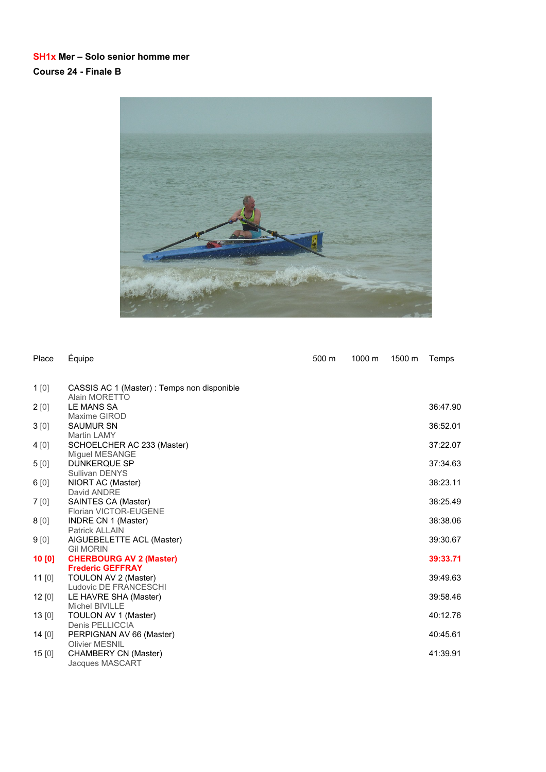### **SH1x Mer – Solo senior homme mer Course 24 - Finale B**



| Place  | Équipe                                                    | 500 m | 1000 m | 1500 m | Temps    |
|--------|-----------------------------------------------------------|-------|--------|--------|----------|
| 1[0]   | CASSIS AC 1 (Master) : Temps non disponible               |       |        |        |          |
|        | Alain MORETTO                                             |       |        |        |          |
| 2[0]   | LE MANS SA                                                |       |        |        | 36:47.90 |
|        | Maxime GIROD                                              |       |        |        |          |
| 3[0]   | <b>SAUMUR SN</b>                                          |       |        |        | 36:52.01 |
|        | Martin LAMY                                               |       |        |        |          |
| 4 [0]  | SCHOELCHER AC 233 (Master)                                |       |        |        | 37:22.07 |
|        | Miguel MESANGE                                            |       |        |        |          |
| 5[0]   | <b>DUNKERQUE SP</b>                                       |       |        |        | 37:34.63 |
|        | Sullivan DENYS                                            |       |        |        |          |
| 6[0]   | NIORT AC (Master)                                         |       |        |        | 38:23.11 |
|        | David ANDRE                                               |       |        |        |          |
| 7 [0]  | SAINTES CA (Master)                                       |       |        |        | 38:25.49 |
|        | <b>Florian VICTOR-EUGENE</b>                              |       |        |        |          |
| 8 [0]  | INDRE CN 1 (Master)                                       |       |        |        | 38:38.06 |
|        | <b>Patrick ALLAIN</b>                                     |       |        |        |          |
| 9[0]   | AIGUEBELETTE ACL (Master)                                 |       |        |        | 39:30.67 |
|        | <b>Gil MORIN</b>                                          |       |        |        | 39:33.71 |
| 10 [0] | <b>CHERBOURG AV 2 (Master)</b><br><b>Frederic GEFFRAY</b> |       |        |        |          |
| 11[0]  | TOULON AV 2 (Master)                                      |       |        |        | 39:49.63 |
|        | Ludovic DE FRANCESCHI                                     |       |        |        |          |
| 12[0]  | LE HAVRE SHA (Master)                                     |       |        |        | 39:58.46 |
|        | Michel BIVILLE                                            |       |        |        |          |
| 13[0]  | TOULON AV 1 (Master)                                      |       |        |        | 40:12.76 |
|        | Denis PELLICCIA                                           |       |        |        |          |
| 14[0]  | PERPIGNAN AV 66 (Master)                                  |       |        |        | 40:45.61 |
|        | <b>Olivier MESNIL</b>                                     |       |        |        |          |
| 15[0]  | CHAMBERY CN (Master)                                      |       |        |        | 41:39.91 |
|        | Jacques MASCART                                           |       |        |        |          |